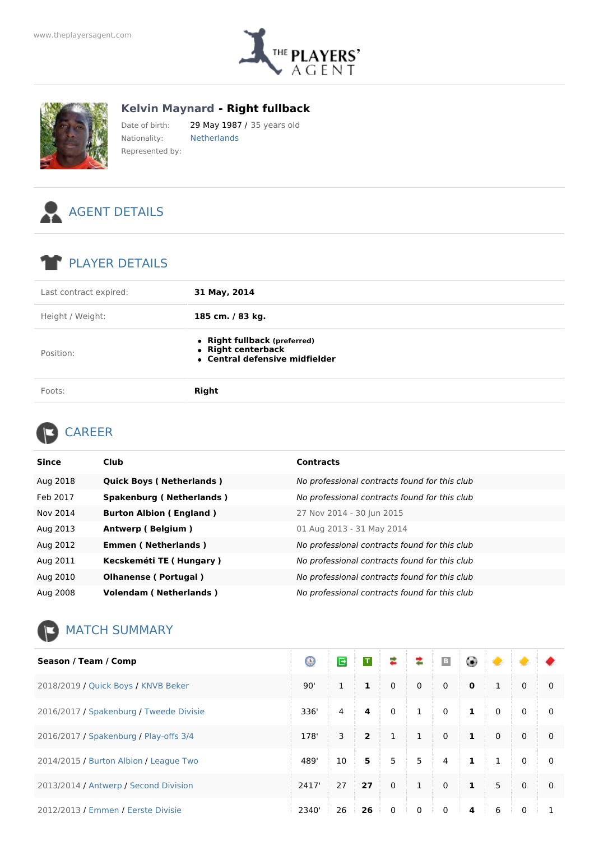



**Kelvin Maynard - Right fullback**

Date of birth: 29 May 1987 / 35 years old Nationality: Netherlands Represented by:



## PLAYER DETAILS

| Last contract expired: | 31 May, 2014                                                                         |
|------------------------|--------------------------------------------------------------------------------------|
| Height / Weight:       | 185 cm. / 83 kg.                                                                     |
| Position:              | • Right fullback (preferred)<br>• Right centerback<br>• Central defensive midfielder |
| Foots:                 | <b>Right</b>                                                                         |

## CAREER

| <b>Since</b> | <b>Club</b>                     | <b>Contracts</b>                              |
|--------------|---------------------------------|-----------------------------------------------|
| Aug 2018     | <b>Quick Boys (Netherlands)</b> | No professional contracts found for this club |
| Feb 2017     | <b>Spakenburg (Netherlands)</b> | No professional contracts found for this club |
| Nov 2014     | <b>Burton Albion (England)</b>  | 27 Nov 2014 - 30 Jun 2015                     |
| Aug 2013     | Antwerp (Belgium)               | 01 Aug 2013 - 31 May 2014                     |
| Aug 2012     | <b>Emmen (Netherlands)</b>      | No professional contracts found for this club |
| Aug 2011     | Kecskeméti TE (Hungary)         | No professional contracts found for this club |
| Aug 2010     | <b>Olhanense (Portugal)</b>     | No professional contracts found for this club |
| Aug 2008     | <b>Volendam (Netherlands)</b>   | No professional contracts found for this club |

## MATCH SUMMARY

| Season / Team / Comp                    | Θ     | E  | $\mathbf T$    | ≉              | ≉            | $\mid$ B       | ۵            | ۰               |              |              |
|-----------------------------------------|-------|----|----------------|----------------|--------------|----------------|--------------|-----------------|--------------|--------------|
| 2018/2019 / Quick Boys / KNVB Beker     | 90'   | 1  | $\mathbf{1}$   | $\mathbf 0$    | $\mathbf 0$  | $\mathbf 0$    | $\mathbf 0$  | $\mathbf{1}$    | $\mathbf 0$  | 0            |
| 2016/2017 / Spakenburg / Tweede Divisie | 336'  | 4  | 4              | $\mathbf 0$    | $\mathbf{1}$ | $\mathbf 0$    | $\mathbf{1}$ | $\mathbf{0}$    | $\Omega$     | $\mathbf{0}$ |
| 2016/2017 / Spakenburg / Play-offs 3/4  | 178'  | 3  | $\overline{2}$ | $\mathbf{1}$   | $\mathbf{1}$ | $\mathbf 0$    | $\mathbf{1}$ | $\mathbf{0}$    | $\Omega$     | 0            |
| 2014/2015 / Burton Albion / League Two  | 489'  | 10 | 5              | 5 <sup>5</sup> | 5            | $\overline{4}$ | $\mathbf{1}$ | $\mathbf{1}$    | $\mathbf{0}$ | 0            |
| 2013/2014 / Antwerp / Second Division   | 2417' | 27 | 27             | $\mathbf 0$    | $\mathbf{1}$ | $\mathbf 0$    | $\mathbf{1}$ | 5               | $\Omega$     | 0            |
| 2012/2013 / Emmen / Ferste Divisie      | 2340' | 26 | 26             | $\Omega$       | $\Omega$     | $\Omega$       | 4            | $6\overline{6}$ | $\Omega$     |              |